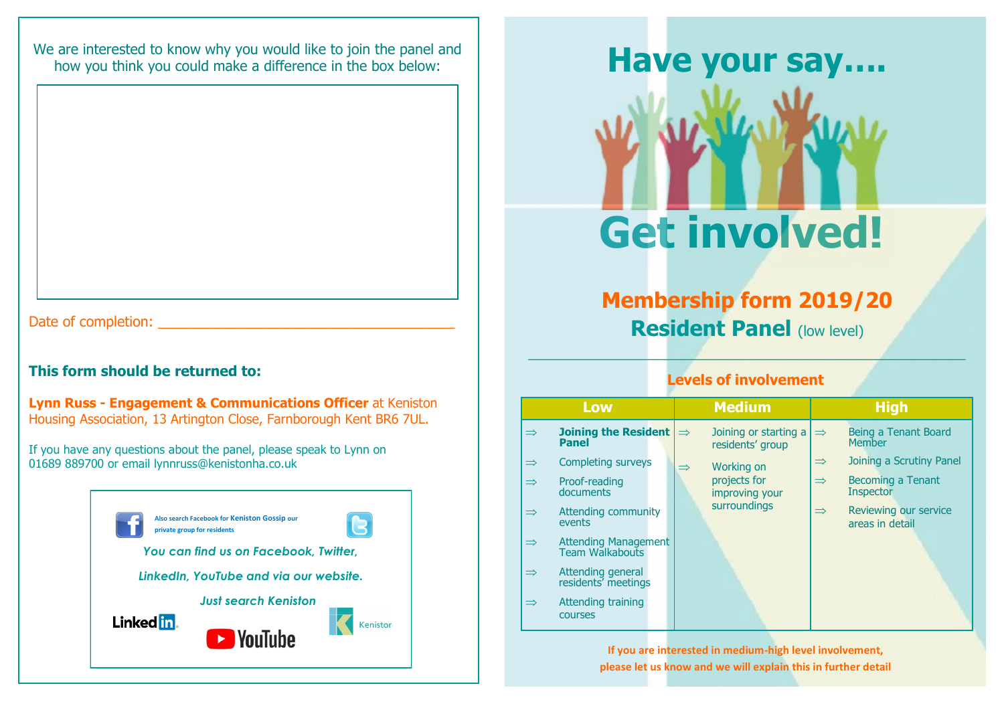We are interested to know why you would like to join the panel and how you think you could make a difference in the box below:

### Date of completion:

## **This form should be returned to:**

**Lynn Russ - Engagement & Communications Officer** at Keniston Housing Association, 13 Artington Close, Farnborough Kent BR6 7UL.

If you have any questions about the panel, please speak to Lynn on 01689 889700 or email lynnruss@kenistonha.co.uk



# **Get involved!**

**Have your say….**

**Membership form 2019/20 Resident Panel** (low level)

\_\_\_\_\_\_\_\_\_\_\_\_\_\_\_\_\_\_\_\_\_\_\_\_\_\_\_\_\_\_\_\_\_\_\_\_\_\_\_\_\_\_\_\_\_\_\_\_\_\_\_\_\_\_\_\_

## **Levels of involvement**

|               | Low                                                   |               | <b>Medium</b>                             |               | <b>High</b>                              |
|---------------|-------------------------------------------------------|---------------|-------------------------------------------|---------------|------------------------------------------|
| $\Rightarrow$ | <b>Joining the Resident  </b><br><b>Panel</b>         | $\Rightarrow$ | Joining or starting a<br>residents' group | $\Rightarrow$ | Being a Tenant Board<br><b>Member</b>    |
| $\Rightarrow$ | Completing surveys                                    | $\Rightarrow$ | Working on                                | $\Rightarrow$ | Joining a Scrutiny Panel                 |
| $\Rightarrow$ | Proof-reading<br>documents                            |               | projects for<br>improving your            | $\Rightarrow$ | Becoming a Tenant<br><b>Inspector</b>    |
| $\Rightarrow$ | Attending community<br>events                         |               | surroundings                              | $\Rightarrow$ | Reviewing our service<br>areas in detail |
| $\Rightarrow$ | <b>Attending Management</b><br><b>Team Walkabouts</b> |               |                                           |               |                                          |
| $\Rightarrow$ | Attending general<br>residents' meetings              |               |                                           |               |                                          |
| $\Rightarrow$ | Attending training<br><b>COULSES</b>                  |               |                                           |               |                                          |

**If you are interested in medium-high level involvement, please let us know and we will explain this in further detail**